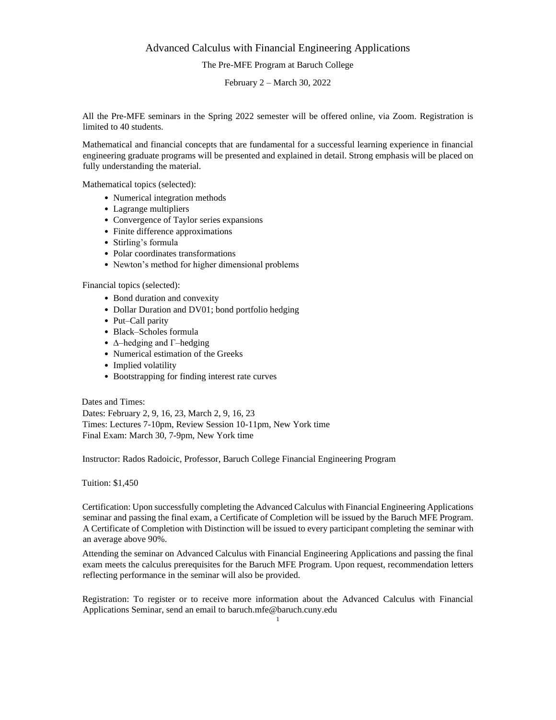## Advanced Calculus with Financial Engineering Applications

The Pre-MFE Program at Baruch College

February 2 – March 30, 2022

All the Pre-MFE seminars in the Spring 2022 semester will be offered online, via Zoom. Registration is limited to 40 students.

Mathematical and financial concepts that are fundamental for a successful learning experience in financial engineering graduate programs will be presented and explained in detail. Strong emphasis will be placed on fully understanding the material.

Mathematical topics (selected):

- Numerical integration methods
- Lagrange multipliers
- Convergence of Taylor series expansions
- Finite difference approximations
- Stirling's formula
- Polar coordinates transformations
- Newton's method for higher dimensional problems

Financial topics (selected):

- Bond duration and convexity
- Dollar Duration and DV01; bond portfolio hedging
- Put–Call parity
- Black–Scholes formula
- $\Delta$ –hedging and Γ–hedging
- Numerical estimation of the Greeks
- Implied volatility
- Bootstrapping for finding interest rate curves

Dates and Times: Dates: February 2, 9, 16, 23, March 2, 9, 16, 23 Times: Lectures 7-10pm, Review Session 10-11pm, New York time Final Exam: March 30, 7-9pm, New York time

Instructor: Rados Radoicic, Professor, Baruch College Financial Engineering Program

Tuition: \$1,450

Certification: Upon successfully completing the Advanced Calculus with Financial Engineering Applications seminar and passing the final exam, a Certificate of Completion will be issued by the Baruch MFE Program. A Certificate of Completion with Distinction will be issued to every participant completing the seminar with an average above 90%.

Attending the seminar on Advanced Calculus with Financial Engineering Applications and passing the final exam meets the calculus prerequisites for the Baruch MFE Program. Upon request, recommendation letters reflecting performance in the seminar will also be provided.

Registration: To register or to receive more information about the Advanced Calculus with Financial Applications Seminar, send an email to baruch.mfe@baruch.cuny.edu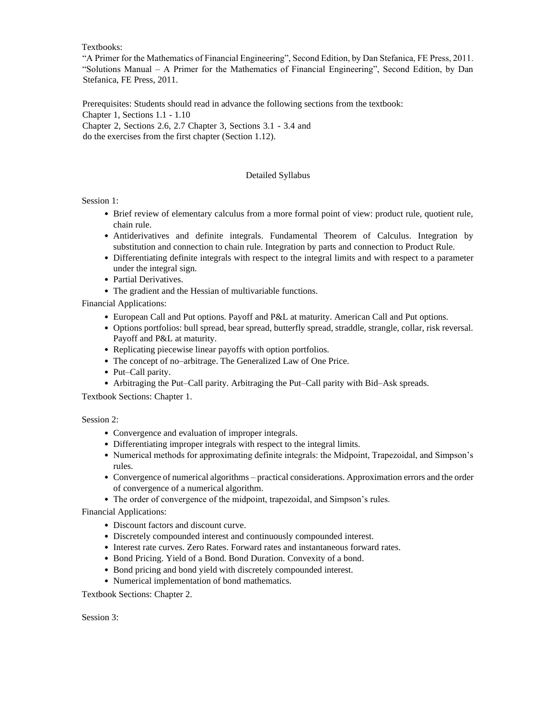Textbooks:

"A Primer for the Mathematics of Financial Engineering", Second Edition, by Dan Stefanica, FE Press, 2011. "Solutions Manual – A Primer for the Mathematics of Financial Engineering", Second Edition, by Dan Stefanica, FE Press, 2011.

Prerequisites: Students should read in advance the following sections from the textbook: Chapter 1, Sections 1.1 - 1.10 Chapter 2, Sections 2.6, 2.7 Chapter 3, Sections 3.1 - 3.4 and do the exercises from the first chapter (Section 1.12).

## Detailed Syllabus

Session 1:

- Brief review of elementary calculus from a more formal point of view: product rule, quotient rule, chain rule.
- Antiderivatives and definite integrals. Fundamental Theorem of Calculus. Integration by substitution and connection to chain rule. Integration by parts and connection to Product Rule.
- Differentiating definite integrals with respect to the integral limits and with respect to a parameter under the integral sign.
- Partial Derivatives.
- The gradient and the Hessian of multivariable functions.

Financial Applications:

- European Call and Put options. Payoff and P&L at maturity. American Call and Put options.
- Options portfolios: bull spread, bear spread, butterfly spread, straddle, strangle, collar, risk reversal. Payoff and P&L at maturity.
- Replicating piecewise linear payoffs with option portfolios.
- The concept of no–arbitrage. The Generalized Law of One Price.
- Put–Call parity.
- Arbitraging the Put–Call parity. Arbitraging the Put–Call parity with Bid–Ask spreads.

Textbook Sections: Chapter 1.

Session 2:

- Convergence and evaluation of improper integrals.
- Differentiating improper integrals with respect to the integral limits.
- Numerical methods for approximating definite integrals: the Midpoint, Trapezoidal, and Simpson's rules.
- Convergence of numerical algorithms practical considerations. Approximation errors and the order of convergence of a numerical algorithm.
- The order of convergence of the midpoint, trapezoidal, and Simpson's rules.

Financial Applications:

- Discount factors and discount curve.
- Discretely compounded interest and continuously compounded interest.
- Interest rate curves. Zero Rates. Forward rates and instantaneous forward rates.
- Bond Pricing. Yield of a Bond. Bond Duration. Convexity of a bond.
- Bond pricing and bond yield with discretely compounded interest.
- Numerical implementation of bond mathematics.

Textbook Sections: Chapter 2.

Session 3: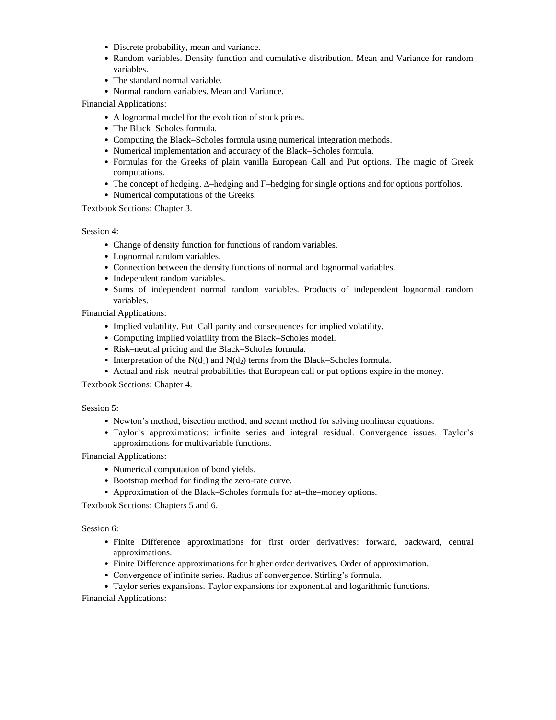- Discrete probability, mean and variance.
- Random variables. Density function and cumulative distribution. Mean and Variance for random variables.
- The standard normal variable.
- Normal random variables. Mean and Variance.

Financial Applications:

- A lognormal model for the evolution of stock prices.
- The Black–Scholes formula.
- Computing the Black–Scholes formula using numerical integration methods.
- Numerical implementation and accuracy of the Black–Scholes formula.
- Formulas for the Greeks of plain vanilla European Call and Put options. The magic of Greek computations.
- The concept of hedging. Δ–hedging and Γ–hedging for single options and for options portfolios.
- Numerical computations of the Greeks.

Textbook Sections: Chapter 3.

Session 4:

- Change of density function for functions of random variables.
- Lognormal random variables.
- Connection between the density functions of normal and lognormal variables.
- Independent random variables.
- Sums of independent normal random variables. Products of independent lognormal random variables.

Financial Applications:

- Implied volatility. Put–Call parity and consequences for implied volatility.
- Computing implied volatility from the Black–Scholes model.
- Risk–neutral pricing and the Black–Scholes formula.
- Interpretation of the  $N(d_1)$  and  $N(d_2)$  terms from the Black–Scholes formula.
- Actual and risk–neutral probabilities that European call or put options expire in the money.

Textbook Sections: Chapter 4.

## Session 5:

- Newton's method, bisection method, and secant method for solving nonlinear equations.
- Taylor's approximations: infinite series and integral residual. Convergence issues. Taylor's approximations for multivariable functions.

Financial Applications:

- Numerical computation of bond yields.
- Bootstrap method for finding the zero-rate curve.
- Approximation of the Black–Scholes formula for at–the–money options.

Textbook Sections: Chapters 5 and 6.

Session 6:

- Finite Difference approximations for first order derivatives: forward, backward, central approximations.
- Finite Difference approximations for higher order derivatives. Order of approximation.
- Convergence of infinite series. Radius of convergence. Stirling's formula.

• Taylor series expansions. Taylor expansions for exponential and logarithmic functions.

Financial Applications: